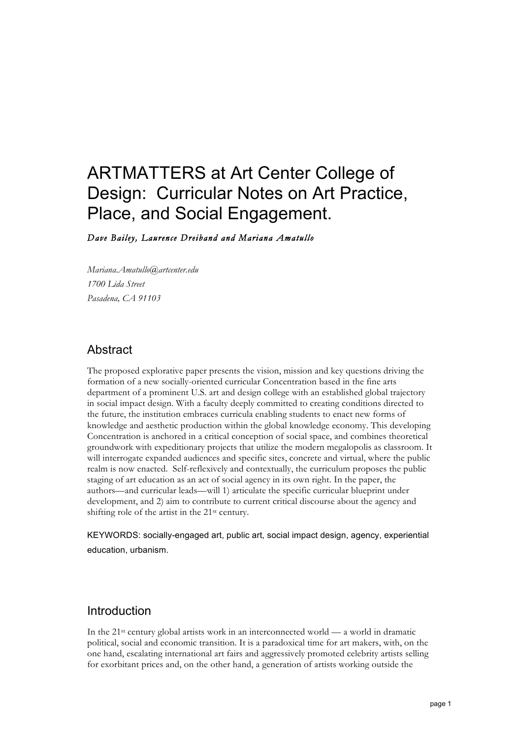### ARTMATTERS at Art Center College of Design: Curricular Notes on Art Practice, Place, and Social Engagement.

*Dave Bailey, Laurence Dreiband and Mariana Amatullo* 

*Mariana.Amatullo@artcenter.edu 1700 Lida Street Pasadena, CA 91103*

#### Abstract

The proposed explorative paper presents the vision, mission and key questions driving the formation of a new socially-oriented curricular Concentration based in the fine arts department of a prominent U.S. art and design college with an established global trajectory in social impact design. With a faculty deeply committed to creating conditions directed to the future, the institution embraces curricula enabling students to enact new forms of knowledge and aesthetic production within the global knowledge economy. This developing Concentration is anchored in a critical conception of social space, and combines theoretical groundwork with expeditionary projects that utilize the modern megalopolis as classroom. It will interrogate expanded audiences and specific sites, concrete and virtual, where the public realm is now enacted. Self-reflexively and contextually, the curriculum proposes the public staging of art education as an act of social agency in its own right. In the paper, the authors—and curricular leads—will 1) articulate the specific curricular blueprint under development, and 2) aim to contribute to current critical discourse about the agency and shifting role of the artist in the 21st century.

KEYWORDS: socially-engaged art, public art, social impact design, agency, experiential education, urbanism.

#### Introduction

In the  $21<sup>st</sup>$  century global artists work in an interconnected world — a world in dramatic political, social and economic transition. It is a paradoxical time for art makers, with, on the one hand, escalating international art fairs and aggressively promoted celebrity artists selling for exorbitant prices and, on the other hand, a generation of artists working outside the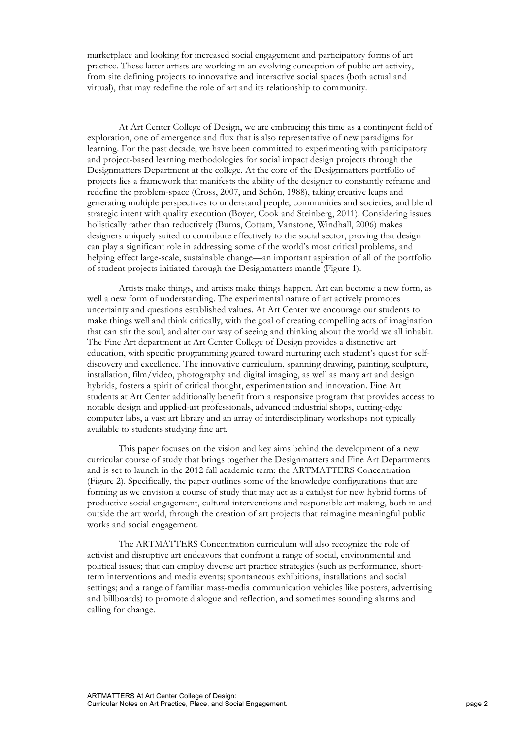marketplace and looking for increased social engagement and participatory forms of art practice. These latter artists are working in an evolving conception of public art activity, from site defining projects to innovative and interactive social spaces (both actual and virtual), that may redefine the role of art and its relationship to community.

At Art Center College of Design, we are embracing this time as a contingent field of exploration, one of emergence and flux that is also representative of new paradigms for learning. For the past decade, we have been committed to experimenting with participatory and project-based learning methodologies for social impact design projects through the Designmatters Department at the college. At the core of the Designmatters portfolio of projects lies a framework that manifests the ability of the designer to constantly reframe and redefine the problem-space (Cross, 2007, and Schön, 1988), taking creative leaps and generating multiple perspectives to understand people, communities and societies, and blend strategic intent with quality execution (Boyer, Cook and Steinberg, 2011). Considering issues holistically rather than reductively (Burns, Cottam, Vanstone, Windhall, 2006) makes designers uniquely suited to contribute effectively to the social sector, proving that design can play a significant role in addressing some of the world's most critical problems, and helping effect large-scale, sustainable change—an important aspiration of all of the portfolio of student projects initiated through the Designmatters mantle (Figure 1).

Artists make things, and artists make things happen. Art can become a new form, as well a new form of understanding. The experimental nature of art actively promotes uncertainty and questions established values. At Art Center we encourage our students to make things well and think critically, with the goal of creating compelling acts of imagination that can stir the soul, and alter our way of seeing and thinking about the world we all inhabit. The Fine Art department at Art Center College of Design provides a distinctive art education, with specific programming geared toward nurturing each student's quest for selfdiscovery and excellence. The innovative curriculum, spanning drawing, painting, sculpture, installation, film/video, photography and digital imaging, as well as many art and design hybrids, fosters a spirit of critical thought, experimentation and innovation. Fine Art students at Art Center additionally benefit from a responsive program that provides access to notable design and applied-art professionals, advanced industrial shops, cutting-edge computer labs, a vast art library and an array of interdisciplinary workshops not typically available to students studying fine art.

This paper focuses on the vision and key aims behind the development of a new curricular course of study that brings together the Designmatters and Fine Art Departments and is set to launch in the 2012 fall academic term: the ARTMATTERS Concentration (Figure 2). Specifically, the paper outlines some of the knowledge configurations that are forming as we envision a course of study that may act as a catalyst for new hybrid forms of productive social engagement, cultural interventions and responsible art making, both in and outside the art world, through the creation of art projects that reimagine meaningful public works and social engagement.

The ARTMATTERS Concentration curriculum will also recognize the role of activist and disruptive art endeavors that confront a range of social, environmental and political issues; that can employ diverse art practice strategies (such as performance, shortterm interventions and media events; spontaneous exhibitions, installations and social settings; and a range of familiar mass-media communication vehicles like posters, advertising and billboards) to promote dialogue and reflection, and sometimes sounding alarms and calling for change.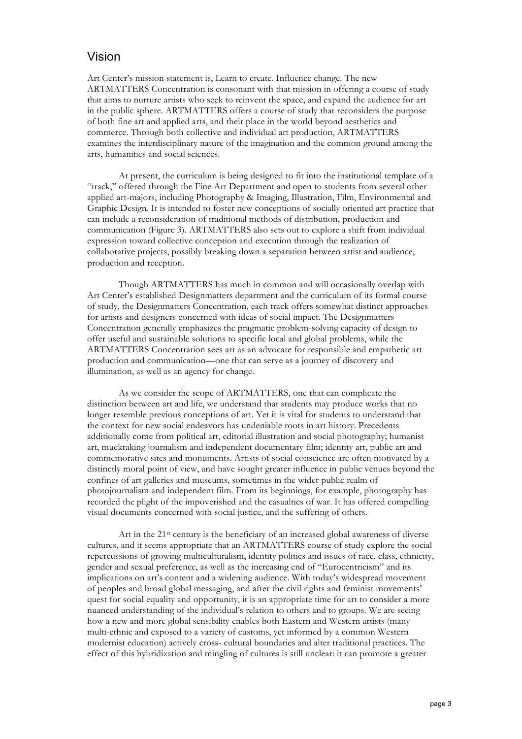#### Vision

Art Center's mission statement is, Learn to create. Influence change. The new ARTMATTERS Concentration is consonant with that mission in offering a course of study that aims to nurture artists who seek to reinvent the space, and expand the audience for art in the public sphere. ARTMATTERS offers a course of study that reconsiders the purpose of both fine art and applied arts, and their place in the world beyond aesthetics and commerce. Through both collective and individual art production, ARTMATTERS examines the interdisciplinary nature of the imagination and the common ground among the arts, humanities and social sciences.

At present, the curriculum is being designed to fit into the institutional template of a "track," offered through the Fine Art Department and open to students from several other applied art-majors, including Photography & Imaging, Illustration, Film, Environmental and Graphic Design. It is intended to foster new conceptions of socially oriented art practice that can include a reconsideration of traditional methods of distribution, production and communication (Figure 3). ARTMATTERS also sets out to explore a shift from individual expression toward collective conception and execution through the realization of collaborative projects, possibly breaking down a separation between artist and audience, production and reception.

Though ARTMATTERS has much in common and will occasionally overlap with Art Center's established Designmatters department and the curriculum of its formal course of study, the Designmatters Concentration, each track offers somewhat distinct approaches for artists and designers concerned with ideas of social impact. The Designmatters Concentration generally emphasizes the pragmatic problem-solving capacity of design to offer useful and sustainable solutions to specific local and global problems, while the ARTMATTERS Concentration sees art as an advocate for responsible and empathetic art production and communication—one that can serve as a journey of discovery and illumination, as well as an agency for change.

As we consider the scope of ARTMATTERS, one that can complicate the distinction between art and life, we understand that students may produce works that no longer resemble previous conceptions of art. Yet it is vital for students to understand that the context for new social endeavors has undeniable roots in art history. Precedents additionally come from political art, editorial illustration and social photography; humanist art, muckraking journalism and independent documentary film; identity art, public art and commemorative sites and monuments. Artists of social conscience are often motivated by a distinctly moral point of view, and have sought greater influence in public venues beyond the confines of art galleries and museums, sometimes in the wider public realm of photojournalism and independent film. From its beginnings, for example, photography has recorded the plight of the impoverished and the casualties of war. It has offered compelling visual documents concerned with social justice, and the suffering of others.

Art in the 21st century is the beneficiary of an increased global awareness of diverse cultures, and it seems appropriate that an ARTMATTERS course of study explore the social repercussions of growing multiculturalism, identity politics and issues of race, class, ethnicity, gender and sexual preference, as well as the increasing end of "Eurocentricism" and its implications on art's content and a widening audience. With today's widespread movement of peoples and broad global messaging, and after the civil rights and feminist movements' quest for social equality and opportunity, it is an appropriate time for art to consider a more nuanced understanding of the individual's relation to others and to groups. We are seeing how a new and more global sensibility enables both Eastern and Western artists (many multi-ethnic and exposed to a variety of customs, yet informed by a common Western modernist education) actively cross- cultural boundaries and alter traditional practices. The effect of this hybridization and mingling of cultures is still unclear: it can promote a greater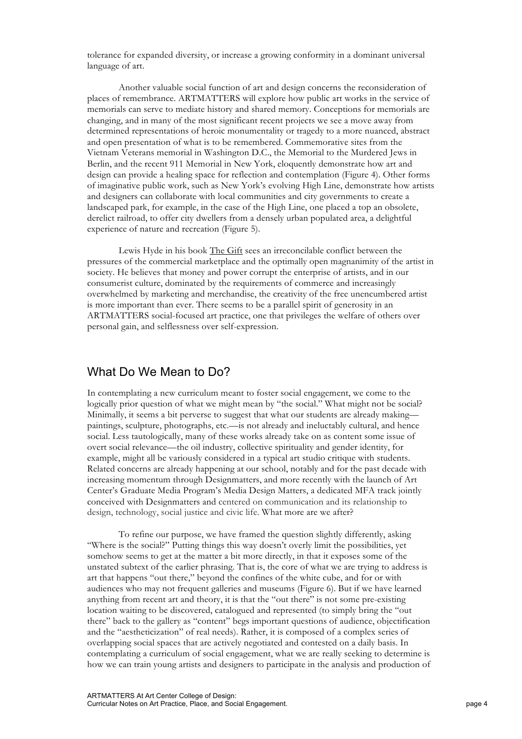tolerance for expanded diversity, or increase a growing conformity in a dominant universal language of art.

Another valuable social function of art and design concerns the reconsideration of places of remembrance. ARTMATTERS will explore how public art works in the service of memorials can serve to mediate history and shared memory. Conceptions for memorials are changing, and in many of the most significant recent projects we see a move away from determined representations of heroic monumentality or tragedy to a more nuanced, abstract and open presentation of what is to be remembered. Commemorative sites from the Vietnam Veterans memorial in Washington D.C., the Memorial to the Murdered Jews in Berlin, and the recent 911 Memorial in New York, eloquently demonstrate how art and design can provide a healing space for reflection and contemplation (Figure 4). Other forms of imaginative public work, such as New York's evolving High Line, demonstrate how artists and designers can collaborate with local communities and city governments to create a landscaped park, for example, in the case of the High Line, one placed a top an obsolete, derelict railroad, to offer city dwellers from a densely urban populated area, a delightful experience of nature and recreation (Figure 5).

Lewis Hyde in his book The Gift sees an irreconcilable conflict between the pressures of the commercial marketplace and the optimally open magnanimity of the artist in society. He believes that money and power corrupt the enterprise of artists, and in our consumerist culture, dominated by the requirements of commerce and increasingly overwhelmed by marketing and merchandise, the creativity of the free unencumbered artist is more important than ever. There seems to be a parallel spirit of generosity in an ARTMATTERS social-focused art practice, one that privileges the welfare of others over personal gain, and selflessness over self-expression.

#### What Do We Mean to Do?

In contemplating a new curriculum meant to foster social engagement, we come to the logically prior question of what we might mean by "the social." What might not be social? Minimally, it seems a bit perverse to suggest that what our students are already making paintings, sculpture, photographs, etc.—is not already and ineluctably cultural, and hence social. Less tautologically, many of these works already take on as content some issue of overt social relevance—the oil industry, collective spirituality and gender identity, for example, might all be variously considered in a typical art studio critique with students. Related concerns are already happening at our school, notably and for the past decade with increasing momentum through Designmatters, and more recently with the launch of Art Center's Graduate Media Program's Media Design Matters, a dedicated MFA track jointly conceived with Designmatters and centered on communication and its relationship to design, technology, social justice and civic life. What more are we after?

To refine our purpose, we have framed the question slightly differently, asking "Where is the social?" Putting things this way doesn't overly limit the possibilities, yet somehow seems to get at the matter a bit more directly, in that it exposes some of the unstated subtext of the earlier phrasing. That is, the core of what we are trying to address is art that happens "out there," beyond the confines of the white cube, and for or with audiences who may not frequent galleries and museums (Figure 6). But if we have learned anything from recent art and theory, it is that the "out there" is not some pre-existing location waiting to be discovered, catalogued and represented (to simply bring the "out there" back to the gallery as "content" begs important questions of audience, objectification and the "aestheticization" of real needs). Rather, it is composed of a complex series of overlapping social spaces that are actively negotiated and contested on a daily basis. In contemplating a curriculum of social engagement, what we are really seeking to determine is how we can train young artists and designers to participate in the analysis and production of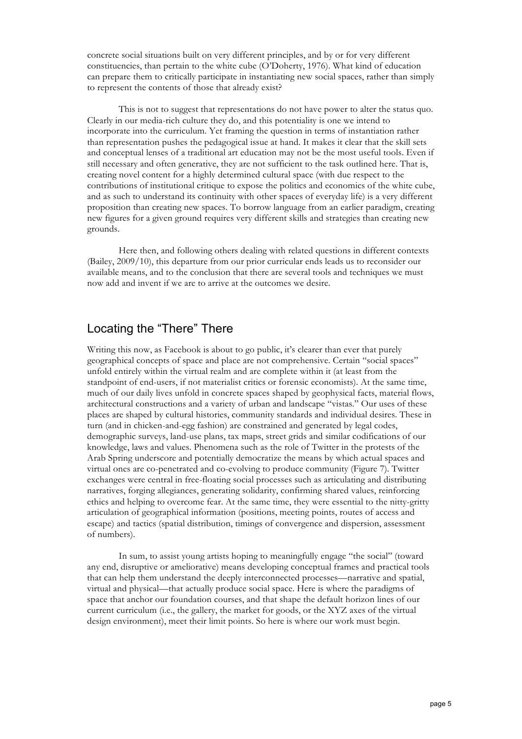concrete social situations built on very different principles, and by or for very different constituencies, than pertain to the white cube (O'Doherty, 1976). What kind of education can prepare them to critically participate in instantiating new social spaces, rather than simply to represent the contents of those that already exist?

This is not to suggest that representations do not have power to alter the status quo. Clearly in our media-rich culture they do, and this potentiality is one we intend to incorporate into the curriculum. Yet framing the question in terms of instantiation rather than representation pushes the pedagogical issue at hand. It makes it clear that the skill sets and conceptual lenses of a traditional art education may not be the most useful tools. Even if still necessary and often generative, they are not sufficient to the task outlined here. That is, creating novel content for a highly determined cultural space (with due respect to the contributions of institutional critique to expose the politics and economics of the white cube, and as such to understand its continuity with other spaces of everyday life) is a very different proposition than creating new spaces. To borrow language from an earlier paradigm, creating new figures for a given ground requires very different skills and strategies than creating new grounds.

Here then, and following others dealing with related questions in different contexts (Bailey, 2009/10), this departure from our prior curricular ends leads us to reconsider our available means, and to the conclusion that there are several tools and techniques we must now add and invent if we are to arrive at the outcomes we desire.

#### Locating the "There" There

Writing this now, as Facebook is about to go public, it's clearer than ever that purely geographical concepts of space and place are not comprehensive. Certain "social spaces" unfold entirely within the virtual realm and are complete within it (at least from the standpoint of end-users, if not materialist critics or forensic economists). At the same time, much of our daily lives unfold in concrete spaces shaped by geophysical facts, material flows, architectural constructions and a variety of urban and landscape "vistas." Our uses of these places are shaped by cultural histories, community standards and individual desires. These in turn (and in chicken-and-egg fashion) are constrained and generated by legal codes, demographic surveys, land-use plans, tax maps, street grids and similar codifications of our knowledge, laws and values. Phenomena such as the role of Twitter in the protests of the Arab Spring underscore and potentially democratize the means by which actual spaces and virtual ones are co-penetrated and co-evolving to produce community (Figure 7). Twitter exchanges were central in free-floating social processes such as articulating and distributing narratives, forging allegiances, generating solidarity, confirming shared values, reinforcing ethics and helping to overcome fear. At the same time, they were essential to the nitty-gritty articulation of geographical information (positions, meeting points, routes of access and escape) and tactics (spatial distribution, timings of convergence and dispersion, assessment of numbers).

In sum, to assist young artists hoping to meaningfully engage "the social" (toward any end, disruptive or ameliorative) means developing conceptual frames and practical tools that can help them understand the deeply interconnected processes—narrative and spatial, virtual and physical—that actually produce social space. Here is where the paradigms of space that anchor our foundation courses, and that shape the default horizon lines of our current curriculum (i.e., the gallery, the market for goods, or the XYZ axes of the virtual design environment), meet their limit points. So here is where our work must begin.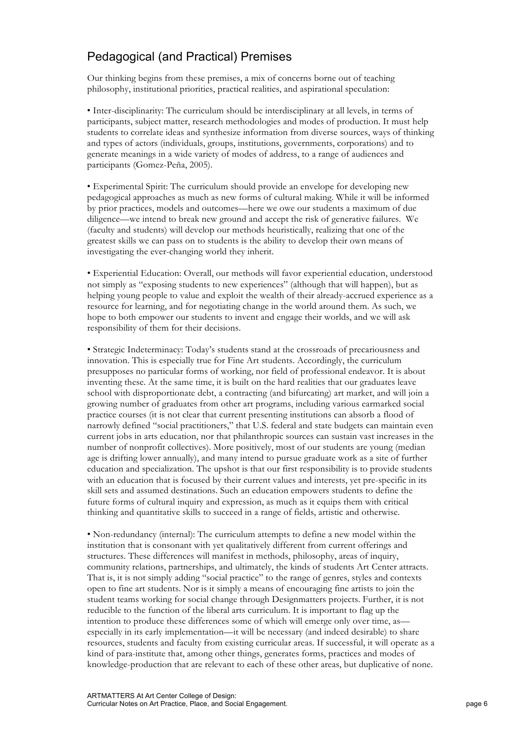#### Pedagogical (and Practical) Premises

Our thinking begins from these premises, a mix of concerns borne out of teaching philosophy, institutional priorities, practical realities, and aspirational speculation:

• Inter-disciplinarity: The curriculum should be interdisciplinary at all levels, in terms of participants, subject matter, research methodologies and modes of production. It must help students to correlate ideas and synthesize information from diverse sources, ways of thinking and types of actors (individuals, groups, institutions, governments, corporations) and to generate meanings in a wide variety of modes of address, to a range of audiences and participants (Gomez-Peña, 2005).

• Experimental Spirit: The curriculum should provide an envelope for developing new pedagogical approaches as much as new forms of cultural making. While it will be informed by prior practices, models and outcomes—here we owe our students a maximum of due diligence—we intend to break new ground and accept the risk of generative failures. We (faculty and students) will develop our methods heuristically, realizing that one of the greatest skills we can pass on to students is the ability to develop their own means of investigating the ever-changing world they inherit.

• Experiential Education: Overall, our methods will favor experiential education, understood not simply as "exposing students to new experiences" (although that will happen), but as helping young people to value and exploit the wealth of their already-accrued experience as a resource for learning, and for negotiating change in the world around them. As such, we hope to both empower our students to invent and engage their worlds, and we will ask responsibility of them for their decisions.

• Strategic Indeterminacy: Today's students stand at the crossroads of precariousness and innovation. This is especially true for Fine Art students. Accordingly, the curriculum presupposes no particular forms of working, nor field of professional endeavor. It is about inventing these. At the same time, it is built on the hard realities that our graduates leave school with disproportionate debt, a contracting (and bifurcating) art market, and will join a growing number of graduates from other art programs, including various earmarked social practice courses (it is not clear that current presenting institutions can absorb a flood of narrowly defined "social practitioners," that U.S. federal and state budgets can maintain even current jobs in arts education, nor that philanthropic sources can sustain vast increases in the number of nonprofit collectives). More positively, most of our students are young (median age is drifting lower annually), and many intend to pursue graduate work as a site of further education and specialization. The upshot is that our first responsibility is to provide students with an education that is focused by their current values and interests, yet pre-specific in its skill sets and assumed destinations. Such an education empowers students to define the future forms of cultural inquiry and expression, as much as it equips them with critical thinking and quantitative skills to succeed in a range of fields, artistic and otherwise.

• Non-redundancy (internal): The curriculum attempts to define a new model within the institution that is consonant with yet qualitatively different from current offerings and structures. These differences will manifest in methods, philosophy, areas of inquiry, community relations, partnerships, and ultimately, the kinds of students Art Center attracts. That is, it is not simply adding "social practice" to the range of genres, styles and contexts open to fine art students. Nor is it simply a means of encouraging fine artists to join the student teams working for social change through Designmatters projects. Further, it is not reducible to the function of the liberal arts curriculum. It is important to flag up the intention to produce these differences some of which will emerge only over time, as especially in its early implementation—it will be necessary (and indeed desirable) to share resources, students and faculty from existing curricular areas. If successful, it will operate as a kind of para-institute that, among other things, generates forms, practices and modes of knowledge-production that are relevant to each of these other areas, but duplicative of none.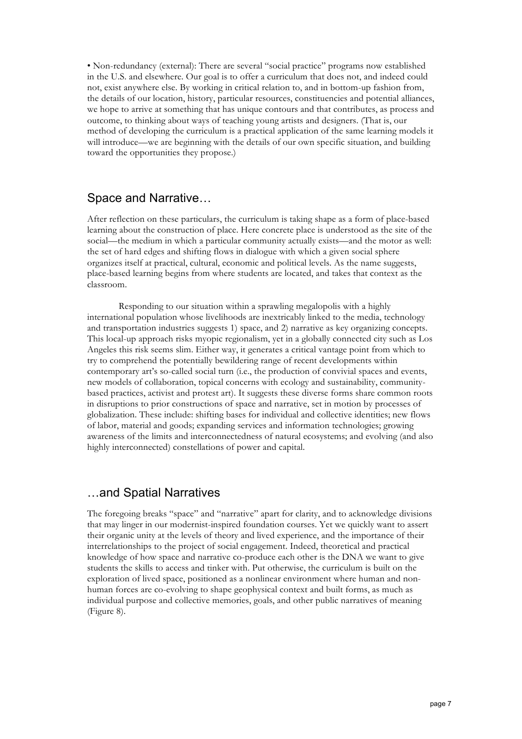• Non-redundancy (external): There are several "social practice" programs now established in the U.S. and elsewhere. Our goal is to offer a curriculum that does not, and indeed could not, exist anywhere else. By working in critical relation to, and in bottom-up fashion from, the details of our location, history, particular resources, constituencies and potential alliances, we hope to arrive at something that has unique contours and that contributes, as process and outcome, to thinking about ways of teaching young artists and designers. (That is, our method of developing the curriculum is a practical application of the same learning models it will introduce—we are beginning with the details of our own specific situation, and building toward the opportunities they propose.)

#### Space and Narrative…

After reflection on these particulars, the curriculum is taking shape as a form of place-based learning about the construction of place. Here concrete place is understood as the site of the social—the medium in which a particular community actually exists—and the motor as well: the set of hard edges and shifting flows in dialogue with which a given social sphere organizes itself at practical, cultural, economic and political levels. As the name suggests, place-based learning begins from where students are located, and takes that context as the classroom.

Responding to our situation within a sprawling megalopolis with a highly international population whose livelihoods are inextricably linked to the media, technology and transportation industries suggests 1) space, and 2) narrative as key organizing concepts. This local-up approach risks myopic regionalism, yet in a globally connected city such as Los Angeles this risk seems slim. Either way, it generates a critical vantage point from which to try to comprehend the potentially bewildering range of recent developments within contemporary art's so-called social turn (i.e., the production of convivial spaces and events, new models of collaboration, topical concerns with ecology and sustainability, communitybased practices, activist and protest art). It suggests these diverse forms share common roots in disruptions to prior constructions of space and narrative, set in motion by processes of globalization. These include: shifting bases for individual and collective identities; new flows of labor, material and goods; expanding services and information technologies; growing awareness of the limits and interconnectedness of natural ecosystems; and evolving (and also highly interconnected) constellations of power and capital.

#### …and Spatial Narratives

The foregoing breaks "space" and "narrative" apart for clarity, and to acknowledge divisions that may linger in our modernist-inspired foundation courses. Yet we quickly want to assert their organic unity at the levels of theory and lived experience, and the importance of their interrelationships to the project of social engagement. Indeed, theoretical and practical knowledge of how space and narrative co-produce each other is the DNA we want to give students the skills to access and tinker with. Put otherwise, the curriculum is built on the exploration of lived space, positioned as a nonlinear environment where human and nonhuman forces are co-evolving to shape geophysical context and built forms, as much as individual purpose and collective memories, goals, and other public narratives of meaning (Figure 8).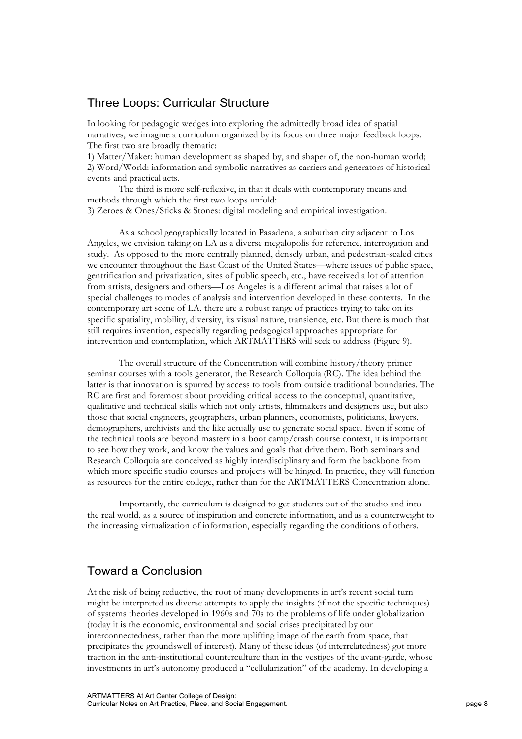#### Three Loops: Curricular Structure

In looking for pedagogic wedges into exploring the admittedly broad idea of spatial narratives, we imagine a curriculum organized by its focus on three major feedback loops. The first two are broadly thematic:

1) Matter/Maker: human development as shaped by, and shaper of, the non-human world; 2) Word/World: information and symbolic narratives as carriers and generators of historical events and practical acts.

The third is more self-reflexive, in that it deals with contemporary means and methods through which the first two loops unfold:

3) Zeroes & Ones/Sticks & Stones: digital modeling and empirical investigation.

As a school geographically located in Pasadena, a suburban city adjacent to Los Angeles, we envision taking on LA as a diverse megalopolis for reference, interrogation and study. As opposed to the more centrally planned, densely urban, and pedestrian-scaled cities we encounter throughout the East Coast of the United States—where issues of public space, gentrification and privatization, sites of public speech, etc., have received a lot of attention from artists, designers and others—Los Angeles is a different animal that raises a lot of special challenges to modes of analysis and intervention developed in these contexts. In the contemporary art scene of LA, there are a robust range of practices trying to take on its specific spatiality, mobility, diversity, its visual nature, transience, etc. But there is much that still requires invention, especially regarding pedagogical approaches appropriate for intervention and contemplation, which ARTMATTERS will seek to address (Figure 9).

The overall structure of the Concentration will combine history/theory primer seminar courses with a tools generator, the Research Colloquia (RC). The idea behind the latter is that innovation is spurred by access to tools from outside traditional boundaries. The RC are first and foremost about providing critical access to the conceptual, quantitative, qualitative and technical skills which not only artists, filmmakers and designers use, but also those that social engineers, geographers, urban planners, economists, politicians, lawyers, demographers, archivists and the like actually use to generate social space. Even if some of the technical tools are beyond mastery in a boot camp/crash course context, it is important to see how they work, and know the values and goals that drive them. Both seminars and Research Colloquia are conceived as highly interdisciplinary and form the backbone from which more specific studio courses and projects will be hinged. In practice, they will function as resources for the entire college, rather than for the ARTMATTERS Concentration alone.

Importantly, the curriculum is designed to get students out of the studio and into the real world, as a source of inspiration and concrete information, and as a counterweight to the increasing virtualization of information, especially regarding the conditions of others.

#### Toward a Conclusion

At the risk of being reductive, the root of many developments in art's recent social turn might be interpreted as diverse attempts to apply the insights (if not the specific techniques) of systems theories developed in 1960s and 70s to the problems of life under globalization (today it is the economic, environmental and social crises precipitated by our interconnectedness, rather than the more uplifting image of the earth from space, that precipitates the groundswell of interest). Many of these ideas (of interrelatedness) got more traction in the anti-institutional counterculture than in the vestiges of the avant-garde, whose investments in art's autonomy produced a "cellularization" of the academy. In developing a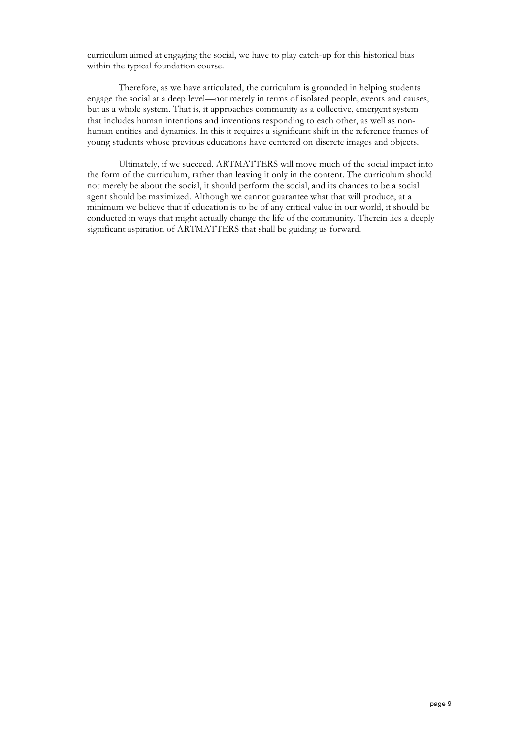curriculum aimed at engaging the social, we have to play catch-up for this historical bias within the typical foundation course.

Therefore, as we have articulated, the curriculum is grounded in helping students engage the social at a deep level—not merely in terms of isolated people, events and causes, but as a whole system. That is, it approaches community as a collective, emergent system that includes human intentions and inventions responding to each other, as well as nonhuman entities and dynamics. In this it requires a significant shift in the reference frames of young students whose previous educations have centered on discrete images and objects.

Ultimately, if we succeed, ARTMATTERS will move much of the social impact into the form of the curriculum, rather than leaving it only in the content. The curriculum should not merely be about the social, it should perform the social, and its chances to be a social agent should be maximized. Although we cannot guarantee what that will produce, at a minimum we believe that if education is to be of any critical value in our world, it should be conducted in ways that might actually change the life of the community. Therein lies a deeply significant aspiration of ARTMATTERS that shall be guiding us forward.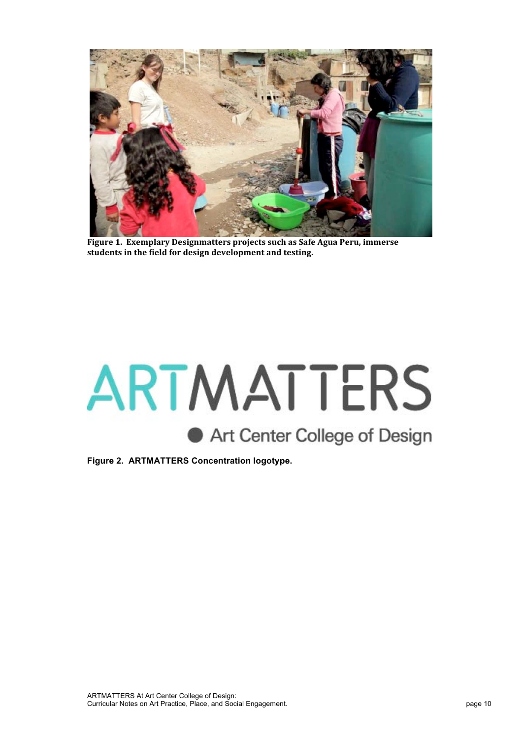

Figure 1. Exemplary Designmatters projects such as Safe Agua Peru, immerse students in the field for design development and testing.

# ARTMATTERS Art Center College of Design

**Figure 2. ARTMATTERS Concentration logotype.**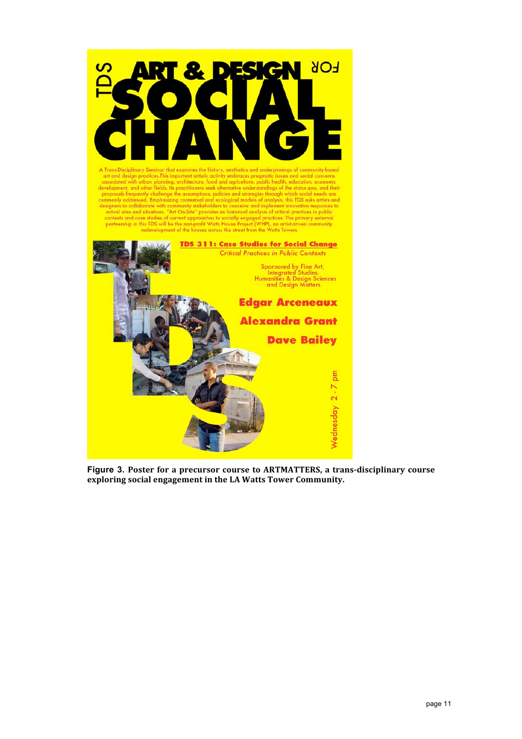

**Figure 3. Poster for a precursor course to ARTMATTERS, a trans-disciplinary course** exploring social engagement in the LA Watts Tower Community.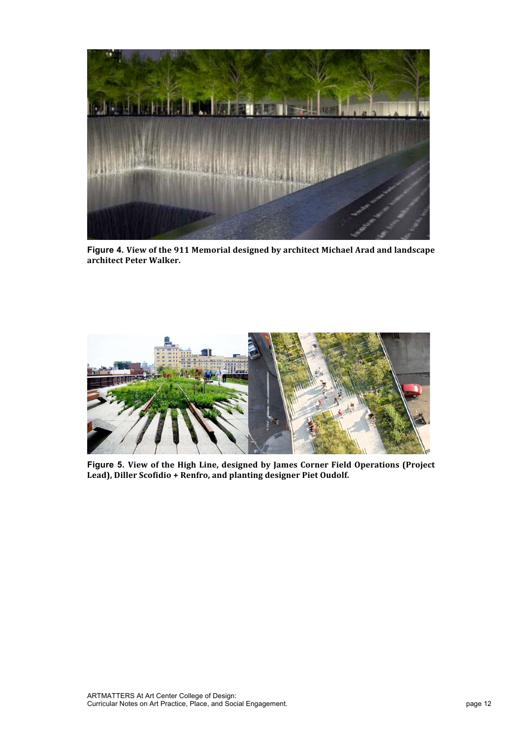

Figure 4. View of the 911 Memorial designed by architect Michael Arad and landscape **architect Peter Walker.**



**Figure 5.** View of the High Line, designed by James Corner Field Operations (Project Lead), Diller Scofidio + Renfro, and planting designer Piet Oudolf.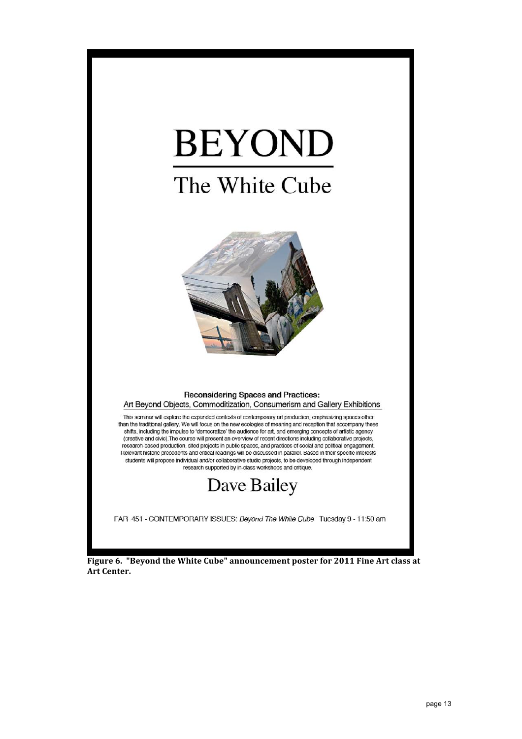# **BEYOND** The White Cube



#### **Reconsidering Spaces and Practices:** Art Beyond Objects, Commoditization, Consumerism and Gallery Exhibitions

This seminar will explore the expanded contexts of contemporary art production, emphasizing spaces other than the traditional gallery. We will focus on the new ecologies of meaning and reception that accompany these shifts, including the impulse to 'democratize' the audience for art, and emerging concepts of artistic agency (creative and civic). The course will present an overview of recent directions including collaborative projects, research-based production, sited projects in public spaces, and practices of social and political engagement. Relevant historic precedents and critical readings will be discussed in parallel. Based in their specific interests students will propose individual and/or collaborative studio projects, to be developed through independent research supported by in-class workshops and critique

## Dave Bailey

FAR 451 - CONTEMPORARY ISSUES: Beyond The White Cube Tuesday 9 - 11:50 am

Figure 6. "Beyond the White Cube" announcement poster for 2011 Fine Art class at **Art Center.**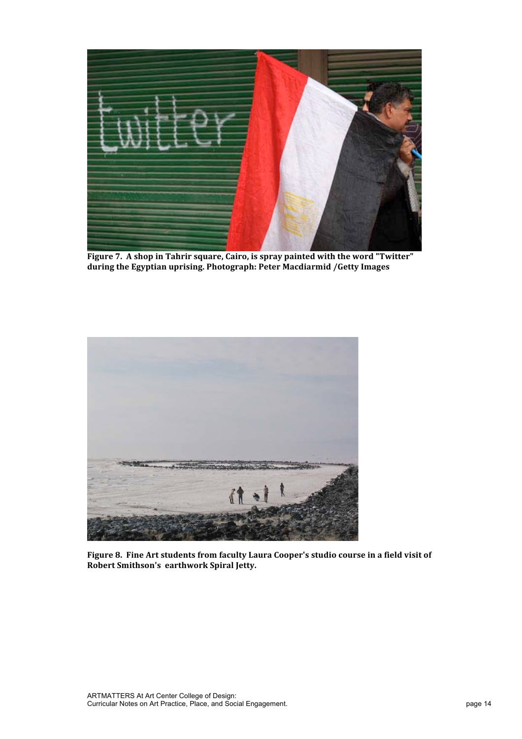

Figure 7. A shop in Tahrir square, Cairo, is spray painted with the word "Twitter" during the Egyptian uprising. Photograph: Peter Macdiarmid / Getty Images



Figure 8. Fine Art students from faculty Laura Cooper's studio course in a field visit of **Robert Smithson's earthwork Spiral Jetty.**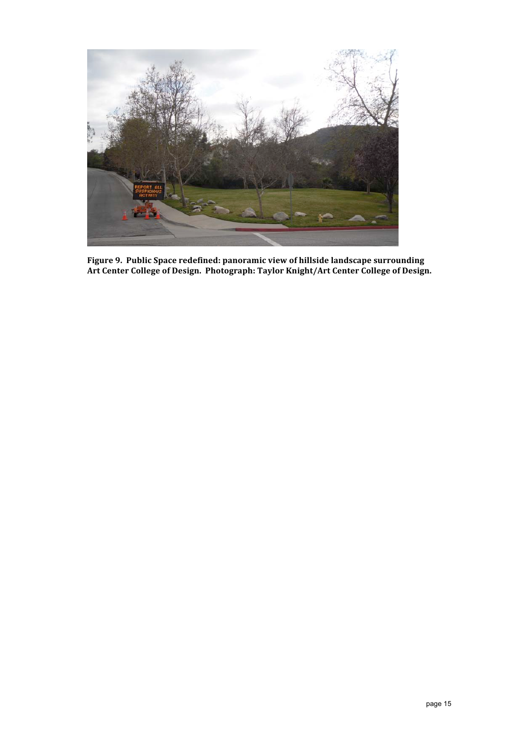

Figure 9. Public Space redefined: panoramic view of hillside landscape surrounding **Art Center College of Design. Photograph: Taylor Knight/Art Center College of Design.**